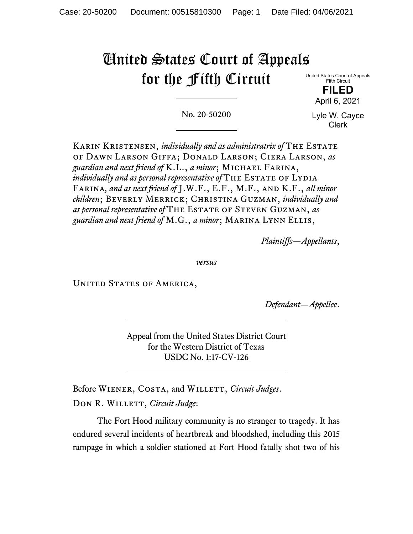# United States Court of Appeals for the Fifth Circuit

United States Court of Appeals Fifth Circuit

> **FILED**  April 6, 2021

No. 20-50200

Lyle W. Cayce Clerk

Karin Kristensen, *individually and as administratrix of* The Estate of Dawn Larson Giffa; Donald Larson; Ciera Larson, *as guardian and next friend of* K.L., *a minor*; Michael Farina, *individually and as personal representative of* THE ESTATE OF LYDIA Farina*, and as next friend of* J.W.F., E.F., M.F., and K.F., *all minor children*; Beverly Merrick; Christina Guzman, *individually and as personal representative of* The Estate of Steven Guzman, *as guardian and next friend of* M.G., *a minor*; Marina Lynn Ellis,

*Plaintiffs—Appellants*,

*versus*

UNITED STATES OF AMERICA,

*Defendant—Appellee*.

Appeal from the United States District Court for the Western District of Texas USDC No. 1:17-CV-126

Before WIENER, COSTA, and WILLETT, *Circuit Judges*. DON R. WILLETT, *Circuit Judge*:

The Fort Hood military community is no stranger to tragedy. It has endured several incidents of heartbreak and bloodshed, including this 2015 rampage in which a soldier stationed at Fort Hood fatally shot two of his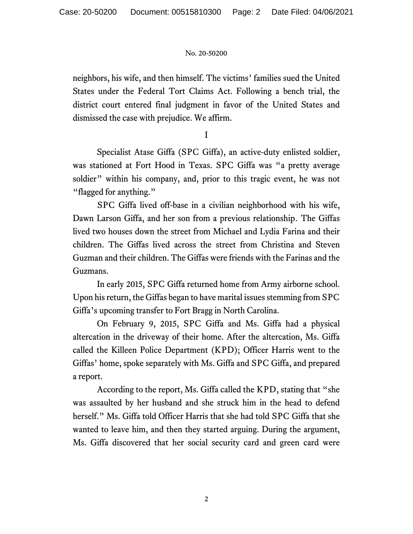neighbors, his wife, and then himself. The victims' families sued the United States under the Federal Tort Claims Act. Following a bench trial, the district court entered final judgment in favor of the United States and dismissed the case with prejudice. We affirm.

I

Specialist Atase Giffa (SPC Giffa), an active-duty enlisted soldier, was stationed at Fort Hood in Texas. SPC Giffa was "a pretty average soldier" within his company, and, prior to this tragic event, he was not "flagged for anything."

SPC Giffa lived off-base in a civilian neighborhood with his wife, Dawn Larson Giffa, and her son from a previous relationship. The Giffas lived two houses down the street from Michael and Lydia Farina and their children. The Giffas lived across the street from Christina and Steven Guzman and their children. The Giffas were friends with the Farinas and the Guzmans.

 In early 2015, SPC Giffa returned home from Army airborne school. Upon his return, the Giffas began to have marital issues stemming from SPC Giffa's upcoming transfer to Fort Bragg in North Carolina.

On February 9, 2015, SPC Giffa and Ms. Giffa had a physical altercation in the driveway of their home. After the altercation, Ms. Giffa called the Killeen Police Department (KPD); Officer Harris went to the Giffas' home, spoke separately with Ms. Giffa and SPC Giffa, and prepared a report.

According to the report, Ms. Giffa called the KPD, stating that "she was assaulted by her husband and she struck him in the head to defend herself." Ms. Giffa told Officer Harris that she had told SPC Giffa that she wanted to leave him, and then they started arguing. During the argument, Ms. Giffa discovered that her social security card and green card were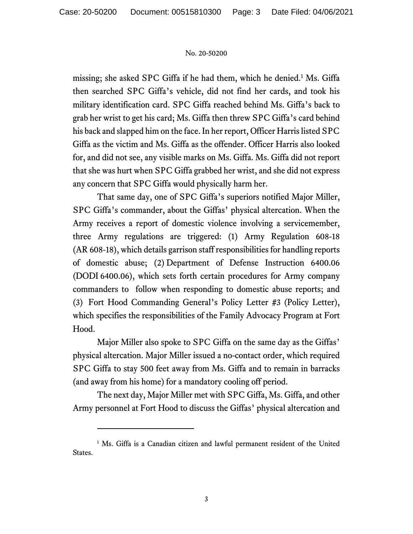missing; she asked SPC Giffa if he had them, which he denied.<sup>1</sup> Ms. Giffa then searched SPC Giffa's vehicle, did not find her cards, and took his military identification card. SPC Giffa reached behind Ms. Giffa's back to grab her wrist to get his card; Ms. Giffa then threw SPC Giffa's card behind his back and slapped him on the face. In her report, Officer Harris listed SPC Giffa as the victim and Ms. Giffa as the offender. Officer Harris also looked for, and did not see, any visible marks on Ms. Giffa. Ms. Giffa did not report that she was hurt when SPC Giffa grabbed her wrist, and she did not express any concern that SPC Giffa would physically harm her.

 That same day, one of SPC Giffa's superiors notified Major Miller, SPC Giffa's commander, about the Giffas' physical altercation. When the Army receives a report of domestic violence involving a servicemember, three Army regulations are triggered: (1) Army Regulation 608-18 (AR 608-18), which details garrison staff responsibilities for handling reports of domestic abuse; (2) Department of Defense Instruction 6400.06 (DODI 6400.06), which sets forth certain procedures for Army company commanders to follow when responding to domestic abuse reports; and (3) Fort Hood Commanding General's Policy Letter #3 (Policy Letter), which specifies the responsibilities of the Family Advocacy Program at Fort Hood.

Major Miller also spoke to SPC Giffa on the same day as the Giffas' physical altercation. Major Miller issued a no-contact order, which required SPC Giffa to stay 500 feet away from Ms. Giffa and to remain in barracks (and away from his home) for a mandatory cooling off period.

 The next day, Major Miller met with SPC Giffa, Ms. Giffa, and other Army personnel at Fort Hood to discuss the Giffas' physical altercation and

<sup>&</sup>lt;sup>1</sup> Ms. Giffa is a Canadian citizen and lawful permanent resident of the United States.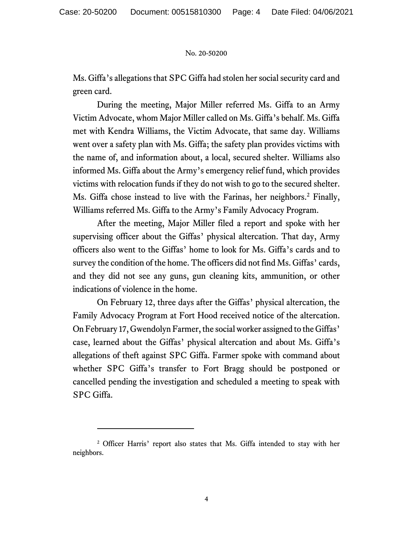Ms. Giffa's allegations that SPC Giffa had stolen her social security card and green card.

During the meeting, Major Miller referred Ms. Giffa to an Army Victim Advocate, whom Major Miller called on Ms. Giffa's behalf. Ms. Giffa met with Kendra Williams, the Victim Advocate, that same day. Williams went over a safety plan with Ms. Giffa; the safety plan provides victims with the name of, and information about, a local, secured shelter. Williams also informed Ms. Giffa about the Army's emergency relief fund, which provides victims with relocation funds if they do not wish to go to the secured shelter. Ms. Giffa chose instead to live with the Farinas, her neighbors.<sup>2</sup> Finally, Williams referred Ms. Giffa to the Army's Family Advocacy Program.

After the meeting, Major Miller filed a report and spoke with her supervising officer about the Giffas' physical altercation. That day, Army officers also went to the Giffas' home to look for Ms. Giffa's cards and to survey the condition of the home. The officers did not find Ms. Giffas' cards, and they did not see any guns, gun cleaning kits, ammunition, or other indications of violence in the home.

 On February 12, three days after the Giffas' physical altercation, the Family Advocacy Program at Fort Hood received notice of the altercation. On February 17, Gwendolyn Farmer, the social worker assigned to the Giffas' case, learned about the Giffas' physical altercation and about Ms. Giffa's allegations of theft against SPC Giffa. Farmer spoke with command about whether SPC Giffa's transfer to Fort Bragg should be postponed or cancelled pending the investigation and scheduled a meeting to speak with SPC Giffa.

<sup>&</sup>lt;sup>2</sup> Officer Harris' report also states that Ms. Giffa intended to stay with her neighbors.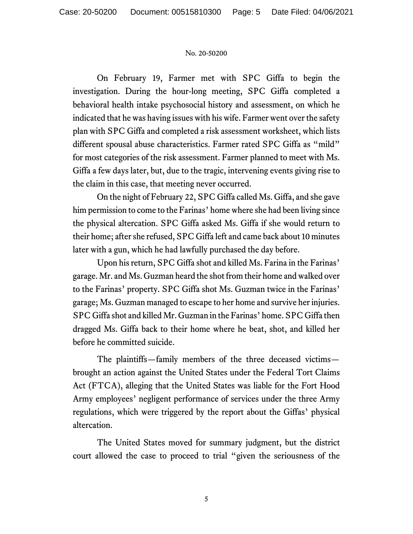On February 19, Farmer met with SPC Giffa to begin the investigation. During the hour-long meeting, SPC Giffa completed a behavioral health intake psychosocial history and assessment, on which he indicated that he was having issues with his wife. Farmer went over the safety plan with SPC Giffa and completed a risk assessment worksheet, which lists different spousal abuse characteristics. Farmer rated SPC Giffa as "mild" for most categories of the risk assessment. Farmer planned to meet with Ms. Giffa a few days later, but, due to the tragic, intervening events giving rise to the claim in this case, that meeting never occurred.

On the night of February 22, SPC Giffa called Ms. Giffa, and she gave him permission to come to the Farinas' home where she had been living since the physical altercation. SPC Giffa asked Ms. Giffa if she would return to their home; after she refused, SPC Giffa left and came back about 10 minutes later with a gun, which he had lawfully purchased the day before.

 Upon his return, SPC Giffa shot and killed Ms. Farina in the Farinas' garage. Mr. and Ms. Guzman heard the shot from their home and walked over to the Farinas' property. SPC Giffa shot Ms. Guzman twice in the Farinas' garage; Ms. Guzman managed to escape to her home and survive her injuries. SPC Giffa shot and killed Mr. Guzman in the Farinas' home. SPC Giffa then dragged Ms. Giffa back to their home where he beat, shot, and killed her before he committed suicide.

The plaintiffs—family members of the three deceased victims brought an action against the United States under the Federal Tort Claims Act (FTCA), alleging that the United States was liable for the Fort Hood Army employees' negligent performance of services under the three Army regulations, which were triggered by the report about the Giffas' physical altercation.

The United States moved for summary judgment, but the district court allowed the case to proceed to trial "given the seriousness of the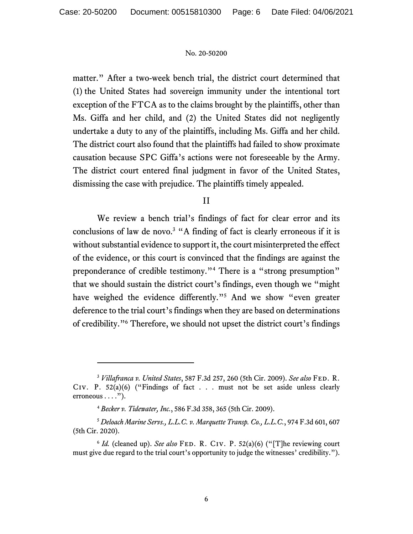matter." After a two-week bench trial, the district court determined that (1) the United States had sovereign immunity under the intentional tort exception of the FTCA as to the claims brought by the plaintiffs, other than Ms. Giffa and her child, and (2) the United States did not negligently undertake a duty to any of the plaintiffs, including Ms. Giffa and her child. The district court also found that the plaintiffs had failed to show proximate causation because SPC Giffa's actions were not foreseeable by the Army. The district court entered final judgment in favor of the United States, dismissing the case with prejudice. The plaintiffs timely appealed.

## II

We review a bench trial's findings of fact for clear error and its conclusions of law de novo.<sup>3</sup> "A finding of fact is clearly erroneous if it is without substantial evidence to support it, the court misinterpreted the effect of the evidence, or this court is convinced that the findings are against the preponderance of credible testimony."<sup>4</sup> There is a "strong presumption" that we should sustain the district court's findings, even though we "might have weighed the evidence differently."<sup>5</sup> And we show "even greater deference to the trial court's findings when they are based on determinations of credibility."6 Therefore, we should not upset the district court's findings

<sup>3</sup> *Villafranca v. United States*, 587 F.3d 257, 260 (5th Cir. 2009). *See also* Fed. R. CIV. P.  $52(a)(6)$  ("Findings of fact . . . must not be set aside unless clearly erroneous  $\dots$ .").

<sup>4</sup> *Becker v. Tidewater, Inc.*, 586 F.3d 358, 365 (5th Cir. 2009).

<sup>5</sup> *Deloach Marine Servs., L.L.C. v. Marquette Transp. Co., L.L.C.*, 974 F.3d 601, 607 (5th Cir. 2020).

<sup>&</sup>lt;sup>6</sup> *Id.* (cleaned up). *See also* FED. R. CIV. P. 52(a)(6) ("[T]he reviewing court must give due regard to the trial court's opportunity to judge the witnesses' credibility.").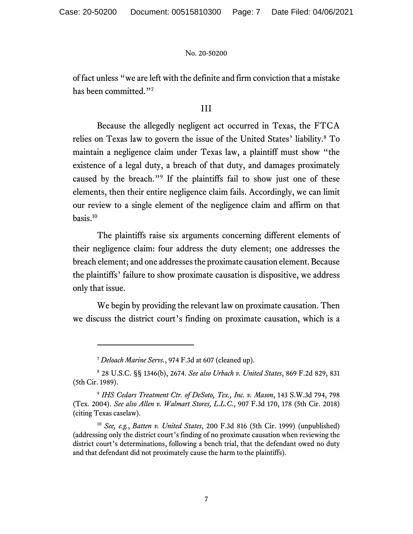of fact unless "we are left with the definite and firm conviction that a mistake has been committed."<sup>7</sup>

## III

Because the allegedly negligent act occurred in Texas, the FTCA relies on Texas law to govern the issue of the United States' liability.<sup>8</sup> To maintain a negligence claim under Texas law, a plaintiff must show "the existence of a legal duty, a breach of that duty, and damages proximately caused by the breach."<sup>9</sup> If the plaintiffs fail to show just one of these elements, then their entire negligence claim fails. Accordingly, we can limit our review to a single element of the negligence claim and affirm on that basis.10

The plaintiffs raise six arguments concerning different elements of their negligence claim: four address the duty element; one addresses the breach element; and one addresses the proximate causation element. Because the plaintiffs' failure to show proximate causation is dispositive, we address only that issue.

We begin by providing the relevant law on proximate causation. Then we discuss the district court's finding on proximate causation, which is a

<sup>7</sup> *Deloach Marine Servs.*, 974 F.3d at 607 (cleaned up).

<sup>8</sup> 28 U.S.C. §§ 1346(b), 2674. *See also Urbach v. United States*, 869 F.2d 829, 831 (5th Cir. 1989).

<sup>9</sup> *IHS Cedars Treatment Ctr. of DeSoto, Tex., Inc. v. Mason*, 143 S.W.3d 794, 798 (Tex. 2004). *See also Allen v. Walmart Stores, L.L.C.*, 907 F.3d 170, 178 (5th Cir. 2018) (citing Texas caselaw).

<sup>10</sup> *See, e.g.*, *Batten v. United States*, 200 F.3d 816 (5th Cir. 1999) (unpublished) (addressing only the district court's finding of no proximate causation when reviewing the district court's determinations, following a bench trial, that the defendant owed no duty and that defendant did not proximately cause the harm to the plaintiffs).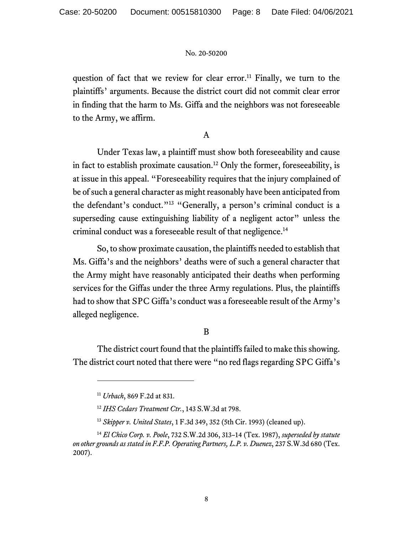question of fact that we review for clear error.<sup>11</sup> Finally, we turn to the plaintiffs' arguments. Because the district court did not commit clear error in finding that the harm to Ms. Giffa and the neighbors was not foreseeable to the Army, we affirm.

## A

Under Texas law, a plaintiff must show both foreseeability and cause in fact to establish proximate causation.<sup>12</sup> Only the former, foreseeability, is at issue in this appeal. "Foreseeability requires that the injury complained of be of such a general character as might reasonably have been anticipated from the defendant's conduct."13 "Generally, a person's criminal conduct is a superseding cause extinguishing liability of a negligent actor" unless the criminal conduct was a foreseeable result of that negligence.<sup>14</sup>

So, to show proximate causation, the plaintiffs needed to establish that Ms. Giffa's and the neighbors' deaths were of such a general character that the Army might have reasonably anticipated their deaths when performing services for the Giffas under the three Army regulations. Plus, the plaintiffs had to show that SPC Giffa's conduct was a foreseeable result of the Army's alleged negligence.

## B

The district court found that the plaintiffs failed to make this showing. The district court noted that there were "no red flags regarding SPC Giffa's

<sup>11</sup> *Urbach*, 869 F.2d at 831.

<sup>12</sup> *IHS Cedars Treatment Ctr.*, 143 S.W.3d at 798.

<sup>13</sup> *Skipper v. United States*, 1 F.3d 349, 352 (5th Cir. 1993) (cleaned up).

<sup>14</sup> *El Chico Corp. v. Poole*, 732 S.W.2d 306, 313–14 (Tex. 1987), *superseded by statute on other grounds as stated in F.F.P. Operating Partners, L.P. v. Duenez*, 237 S.W.3d 680 (Tex. 2007).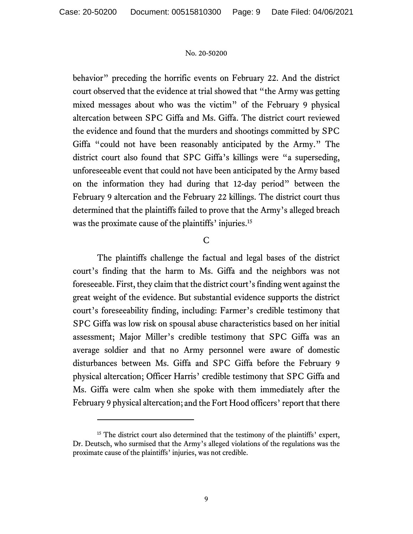behavior" preceding the horrific events on February 22. And the district court observed that the evidence at trial showed that "the Army was getting mixed messages about who was the victim" of the February 9 physical altercation between SPC Giffa and Ms. Giffa. The district court reviewed the evidence and found that the murders and shootings committed by SPC Giffa "could not have been reasonably anticipated by the Army." The district court also found that SPC Giffa's killings were "a superseding, unforeseeable event that could not have been anticipated by the Army based on the information they had during that 12-day period" between the February 9 altercation and the February 22 killings. The district court thus determined that the plaintiffs failed to prove that the Army's alleged breach was the proximate cause of the plaintiffs' injuries.<sup>15</sup>

## C

The plaintiffs challenge the factual and legal bases of the district court's finding that the harm to Ms. Giffa and the neighbors was not foreseeable. First, they claim that the district court's finding went against the great weight of the evidence. But substantial evidence supports the district court's foreseeability finding, including: Farmer's credible testimony that SPC Giffa was low risk on spousal abuse characteristics based on her initial assessment; Major Miller's credible testimony that SPC Giffa was an average soldier and that no Army personnel were aware of domestic disturbances between Ms. Giffa and SPC Giffa before the February 9 physical altercation; Officer Harris' credible testimony that SPC Giffa and Ms. Giffa were calm when she spoke with them immediately after the February 9 physical altercation; and the Fort Hood officers' report that there

<sup>&</sup>lt;sup>15</sup> The district court also determined that the testimony of the plaintiffs' expert, Dr. Deutsch, who surmised that the Army's alleged violations of the regulations was the proximate cause of the plaintiffs' injuries, was not credible.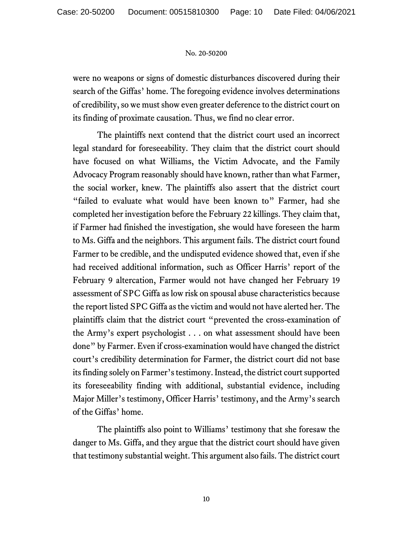were no weapons or signs of domestic disturbances discovered during their search of the Giffas' home. The foregoing evidence involves determinations of credibility, so we must show even greater deference to the district court on its finding of proximate causation. Thus, we find no clear error.

The plaintiffs next contend that the district court used an incorrect legal standard for foreseeability. They claim that the district court should have focused on what Williams, the Victim Advocate, and the Family Advocacy Program reasonably should have known, rather than what Farmer, the social worker, knew. The plaintiffs also assert that the district court "failed to evaluate what would have been known to" Farmer, had she completed her investigation before the February 22 killings. They claim that, if Farmer had finished the investigation, she would have foreseen the harm to Ms. Giffa and the neighbors. This argument fails. The district court found Farmer to be credible, and the undisputed evidence showed that, even if she had received additional information, such as Officer Harris' report of the February 9 altercation, Farmer would not have changed her February 19 assessment of SPC Giffa as low risk on spousal abuse characteristics because the report listed SPC Giffa as the victim and would not have alerted her. The plaintiffs claim that the district court "prevented the cross-examination of the Army's expert psychologist . . . on what assessment should have been done" by Farmer. Even if cross-examination would have changed the district court's credibility determination for Farmer, the district court did not base its finding solely on Farmer's testimony. Instead, the district court supported its foreseeability finding with additional, substantial evidence, including Major Miller's testimony, Officer Harris' testimony, and the Army's search of the Giffas' home.

The plaintiffs also point to Williams' testimony that she foresaw the danger to Ms. Giffa, and they argue that the district court should have given that testimony substantial weight. This argument also fails. The district court